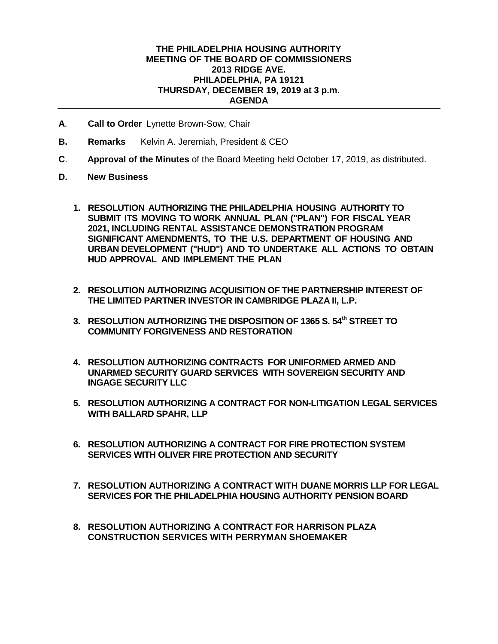## **THE PHILADELPHIA HOUSING AUTHORITY MEETING OF THE BOARD OF COMMISSIONERS 2013 RIDGE AVE. PHILADELPHIA, PA 19121 THURSDAY, DECEMBER 19, 2019 at 3 p.m. AGENDA**

- **A**. **Call to Order** Lynette Brown-Sow, Chair
- **B. Remarks** Kelvin A. Jeremiah, President & CEO
- **C**. **Approval of the Minutes** of the Board Meeting held October 17, 2019, as distributed.
- **D. New Business**
	- **1. RESOLUTION AUTHORIZING THE PHILADELPHIA HOUSING AUTHORITY TO SUBMIT ITS MOVING TO WORK ANNUAL PLAN ("PLAN") FOR FISCAL YEAR 2021, INCLUDING RENTAL ASSISTANCE DEMONSTRATION PROGRAM SIGNIFICANT AMENDMENTS, TO THE U.S. DEPARTMENT OF HOUSING AND URBAN DEVELOPMENT ("HUD") AND TO UNDERTAKE ALL ACTIONS TO OBTAIN HUD APPROVAL AND IMPLEMENT THE PLAN**
	- **2. RESOLUTION AUTHORIZING ACQUISITION OF THE PARTNERSHIP INTEREST OF THE LIMITED PARTNER INVESTOR IN CAMBRIDGE PLAZA II, L.P.**
	- **3. RESOLUTION AUTHORIZING THE DISPOSITION OF 1365 S. 54th STREET TO COMMUNITY FORGIVENESS AND RESTORATION**
	- **4. RESOLUTION AUTHORIZING CONTRACTS FOR UNIFORMED ARMED AND UNARMED SECURITY GUARD SERVICES WITH SOVEREIGN SECURITY AND INGAGE SECURITY LLC**
	- **5. RESOLUTION AUTHORIZING A CONTRACT FOR NON-LITIGATION LEGAL SERVICES WITH BALLARD SPAHR, LLP**
	- **6. RESOLUTION AUTHORIZING A CONTRACT FOR FIRE PROTECTION SYSTEM SERVICES WITH OLIVER FIRE PROTECTION AND SECURITY**
	- **7. RESOLUTION AUTHORIZING A CONTRACT WITH DUANE MORRIS LLP FOR LEGAL SERVICES FOR THE PHILADELPHIA HOUSING AUTHORITY PENSION BOARD**
	- **8. RESOLUTION AUTHORIZING A CONTRACT FOR HARRISON PLAZA CONSTRUCTION SERVICES WITH PERRYMAN SHOEMAKER**